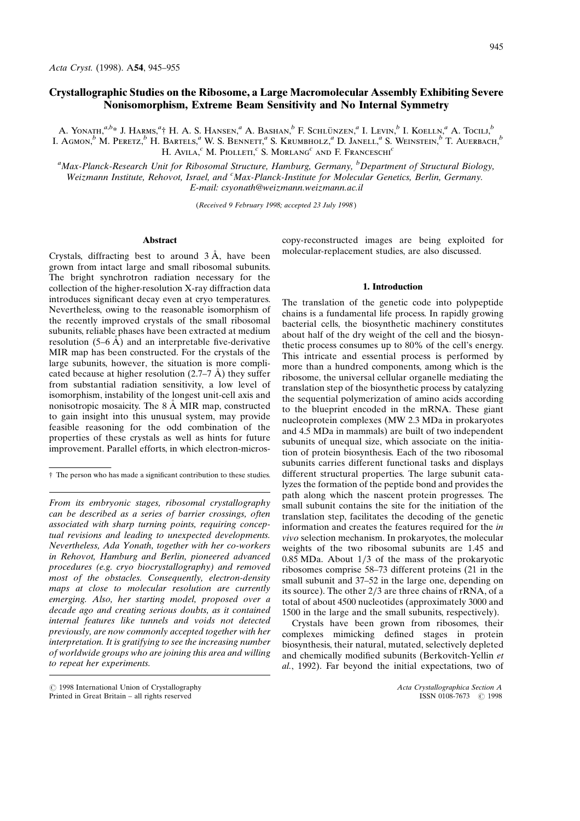# Crystallographic Studies on the Ribosome, a Large Macromolecular Assembly Exhibiting Severe Nonisomorphism, Extreme Beam Sensitivity and No Internal Symmetry

A. Yonath.<sup>a,b</sup>\* J. Harms.<sup>a</sup>† H. A. S. Hansen.<sup>a</sup> A. Bashan.<sup>b</sup> F. Schlünzen.<sup>a</sup> I. Levin.<sup>b</sup> I. Koelln.<sup>a</sup> A. Tocill.<sup>b</sup> L. Agmon, $^b$  M. Peretz, $^b$  H. Bartels,<sup>a</sup> W. S. Bennett,<sup>a</sup> S. Krumbholz,<sup>a</sup> D. Janell,<sup>a</sup> S. Weinstein, $^b$  T. Auerbach, $^b$ H. Avila, $c$  M. Piolleti, $c$  S. Morlang<sup>c</sup> and F. Franceschi<sup>c</sup>

<sup>a</sup>Max-Planck-Research Unit for Ribosomal Structure, Hamburg, Germany, <sup>b</sup>Department of Structural Biology, Weizmann Institute, Rehovot, Israel, and <sup>c</sup>Max-Planck-Institute for Molecular Genetics, Berlin, Germany. E-mail: csyonath@weizmann.weizmann.ac.il

(Received 9 February 1998; accepted 23 July 1998 )

## Abstract

Crystals, diffracting best to around  $3 \text{ Å}$ , have been grown from intact large and small ribosomal subunits. The bright synchrotron radiation necessary for the collection of the higher-resolution X-ray diffraction data introduces significant decay even at cryo temperatures. Nevertheless, owing to the reasonable isomorphism of the recently improved crystals of the small ribosomal subunits, reliable phases have been extracted at medium resolution  $(5-6 \text{ Å})$  and an interpretable five-derivative MIR map has been constructed. For the crystals of the large subunits, however, the situation is more complicated because at higher resolution  $(2.7–7 \text{ A})$  they suffer from substantial radiation sensitivity, a low level of isomorphism, instability of the longest unit-cell axis and nonisotropic mosaicity. The  $8 \text{ Å}$  MIR map, constructed to gain insight into this unusual system, may provide feasible reasoning for the odd combination of the properties of these crystals as well as hints for future improvement. Parallel efforts, in which electron-micros-

From its embryonic stages, ribosomal crystallography can be described as a series of barrier crossings, often associated with sharp turning points, requiring conceptual revisions and leading to unexpected developments. Nevertheless, Ada Yonath, together with her co-workers in Rehovot, Hamburg and Berlin, pioneered advanced procedures (e.g. cryo biocrystallography) and removed most of the obstacles. Consequently, electron-density maps at close to molecular resolution are currently emerging. Also, her starting model, proposed over a decade ago and creating serious doubts, as it contained internal features like tunnels and voids not detected previously, are now commonly accepted together with her interpretation. It is gratifying to see the increasing number of worldwide groups who are joining this area and willing to repeat her experiments.

 $\bigcirc$  1998 International Union of Crystallography Acta Crystallographica Section A<br>Printed in Great Britain – all rights reserved **Acta Crystallographica Section A** ISSN 0108-7673  $\bigcirc$  1998 Printed in Great Britain - all rights reserved

copy-reconstructed images are being exploited for molecular-replacement studies, are also discussed.

#### 1. Introduction

The translation of the genetic code into polypeptide chains is a fundamental life process. In rapidly growing bacterial cells, the biosynthetic machinery constitutes about half of the dry weight of the cell and the biosynthetic process consumes up to 80% of the cell's energy. This intricate and essential process is performed by more than a hundred components, among which is the ribosome, the universal cellular organelle mediating the translation step of the biosynthetic process by catalyzing the sequential polymerization of amino acids according to the blueprint encoded in the mRNA. These giant nucleoprotein complexes (MW 2.3 MDa in prokaryotes and 4.5 MDa in mammals) are built of two independent subunits of unequal size, which associate on the initiation of protein biosynthesis. Each of the two ribosomal subunits carries different functional tasks and displays different structural properties. The large subunit catalyzes the formation of the peptide bond and provides the path along which the nascent protein progresses. The small subunit contains the site for the initiation of the translation step, facilitates the decoding of the genetic information and creates the features required for the in vivo selection mechanism. In prokaryotes, the molecular weights of the two ribosomal subunits are 1.45 and 0.85 MDa. About  $1/3$  of the mass of the prokaryotic ribosomes comprise 58-73 different proteins (21 in the small subunit and 37-52 in the large one, depending on its source). The other  $2/3$  are three chains of rRNA, of a total of about 4500 nucleotides (approximately 3000 and 1500 in the large and the small subunits, respectively).

Crystals have been grown from ribosomes, their complexes mimicking defined stages in protein biosynthesis, their natural, mutated, selectively depleted and chemically modified subunits (Berkovitch-Yellin et al., 1992). Far beyond the initial expectations, two of

 $\dagger$  The person who has made a significant contribution to these studies.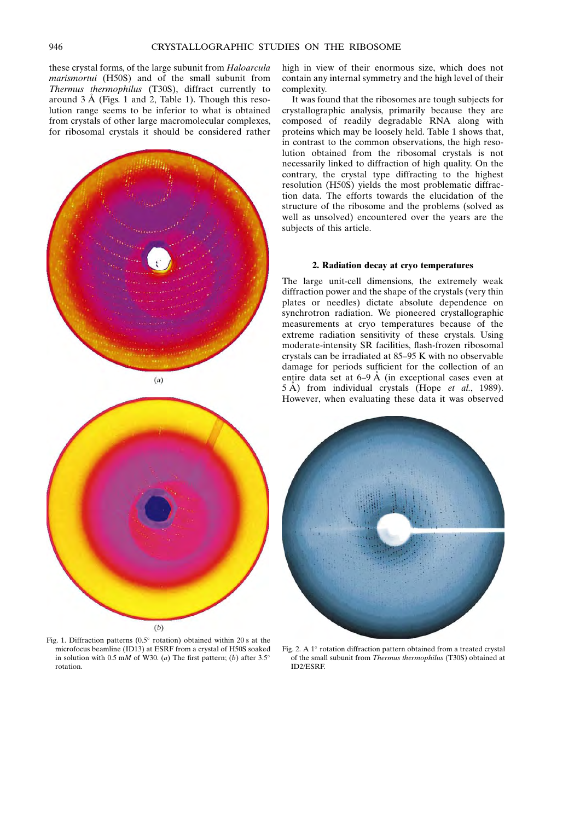these crystal forms, of the large subunit from Haloarcula marismortui (H50S) and of the small subunit from Thermus thermophilus (T30S), diffract currently to around  $3 \text{ Å}$  (Figs. 1 and 2, Table 1). Though this resolution range seems to be inferior to what is obtained from crystals of other large macromolecular complexes, for ribosomal crystals it should be considered rather



 $(a)$ 



Fig. 1. Diffraction patterns ( $0.5^{\circ}$  rotation) obtained within 20 s at the microfocus beamline (ID13) at ESRF from a crystal of H50S soaked in solution with 0.5 mM of W30. (a) The first pattern; (b) after 3.5° rotation.

high in view of their enormous size, which does not contain any internal symmetry and the high level of their complexity.

It was found that the ribosomes are tough subjects for crystallographic analysis, primarily because they are composed of readily degradable RNA along with proteins which may be loosely held. Table 1 shows that, in contrast to the common observations, the high resolution obtained from the ribosomal crystals is not necessarily linked to diffraction of high quality. On the contrary, the crystal type diffracting to the highest resolution (H50S) yields the most problematic diffraction data. The efforts towards the elucidation of the structure of the ribosome and the problems (solved as well as unsolved) encountered over the years are the subjects of this article.

## 2. Radiation decay at cryo temperatures

The large unit-cell dimensions, the extremely weak diffraction power and the shape of the crystals (very thin plates or needles) dictate absolute dependence on synchrotron radiation. We pioneered crystallographic measurements at cryo temperatures because of the extreme radiation sensitivity of these crystals. Using moderate-intensity SR facilities, flash-frozen ribosomal crystals can be irradiated at 85-95 K with no observable damage for periods sufficient for the collection of an entire data set at  $6-9 \text{ Å}$  (in exceptional cases even at  $5 \text{ Å}$ ) from individual crystals (Hope *et al.*, 1989). However, when evaluating these data it was observed



Fig. 2. A  $1^\circ$  rotation diffraction pattern obtained from a treated crystal of the small subunit from *Thermus thermophilus* (T30S) obtained at ID2/ESRF.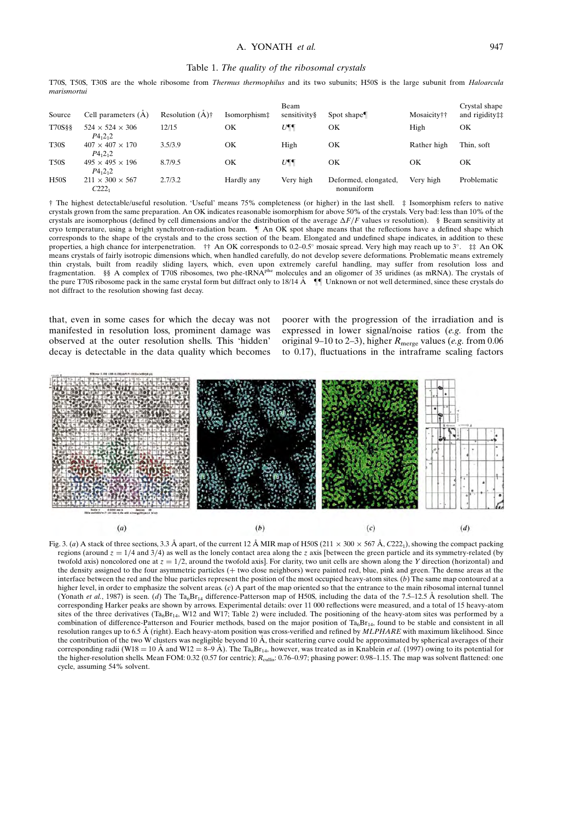### Table 1. The quality of the ribosomal crystals

T70S, T50S, T30S are the whole ribosome from Thermus thermophilus and its two subunits; H50S is the large subunit from Haloarcula marismortui

| Source      | Cell parameters $(A)$                                     | Resolution $(A)$ † | Isomorphism‡ | Beam<br>sensitivity§ | Spot shape                         | Mosaicity†† | Crystal shape<br>and rigidity## |
|-------------|-----------------------------------------------------------|--------------------|--------------|----------------------|------------------------------------|-------------|---------------------------------|
| T70S§§      | $524 \times 524 \times 306$<br>$P_{{}_{1}}{2_{1}}{2_{1}}$ | 12/15              | ΟK           | $U\P\P$              | OК                                 | High        | OК                              |
| <b>T30S</b> | $407 \times 407 \times 170$<br>$P_{{}_{1}}{2_{1}}{2_{1}}$ | 3.5/3.9            | OК           | High                 | OК                                 | Rather high | Thin, soft                      |
| <b>T50S</b> | $495 \times 495 \times 196$<br>$P_{{}_{1}}{2_{1}}{2_{1}}$ | 8.7/9.5            | OК           | $U\P\P$              | OК                                 | ОK          | OК                              |
| H50S        | $211 \times 300 \times 567$<br>C2221                      | 2.7/3.2            | Hardly any   | Very high            | Deformed, elongated,<br>nonuniform | Very high   | Problematic                     |

² The highest detectable/useful resolution. `Useful' means 75% completeness (or higher) in the last shell. ³ Isomorphism refers to native crystals grown from the same preparation. An OK indicates reasonable isomorphism for above 50% of the crystals. Very bad: less than 10% of the crystals are isomorphous (defined by cell dimensions and/or the distribution of the average  $\Delta F/F$  values vs resolution). § Beam sensitivity at cryo temperature, using a bright synchrotron-radiation beam.  $\parallel$  An OK spot shape means that the reflections have a defined shape which corresponds to the shape of the crystals and to the cross section of the beam. Elongated and undefined shape indicates, in addition to these properties, a high chance for interpenetration.  $\dagger \dagger$  An OK corresponds to 0.2–0.5° mosaic spread. Very high may reach up to 3°.  $\ddagger \dagger$  An OK means crystals of fairly isotropic dimensions which, when handled carefully, do not develop severe deformations. Problematic means extremely thin crystals, built from readily sliding layers, which, even upon extremely careful handling, may suffer from resolution loss and fragmentation. §§ A complex of T70S ribosomes, two phe-tRNAphe molecules and an oligomer of 35 uridines (as mRNA). The crystals of the pure T70S ribosome pack in the same crystal form but diffract only to 18/14 Å <sup>[[[</sup>] Unknown or not well determined, since these crystals do not diffract to the resolution showing fast decay.

that, even in some cases for which the decay was not manifested in resolution loss, prominent damage was observed at the outer resolution shells. This `hidden' decay is detectable in the data quality which becomes

poorer with the progression of the irradiation and is expressed in lower signal/noise ratios (e.g. from the original 9-10 to 2-3), higher  $R_{\text{merge}}$  values (e.g. from 0.06 to  $0.17$ ), fluctuations in the intraframe scaling factors



Fig. 3. (a) A stack of three sections, 3.3 Å apart, of the current 12 Å MIR map of H50S (211  $\times$  300  $\times$  567 Å, C222<sub>1</sub>), showing the compact packing regions (around  $z = 1/4$  and 3/4) as well as the lonely contact area along the z axis [between the green particle and its symmetry-related (by twofold axis) noncolored one at  $z = 1/2$ , around the twofold axis]. For clarity, two unit cells are shown along the Y direction (horizontal) and the density assigned to the four asymmetric particles (+ two close neighbors) were painted red, blue, pink and green. The dense areas at the interface between the red and the blue particles represent the position of the most occupied heavy-atom sites. (b) The same map contoured at a higher level, in order to emphasize the solvent areas. (c) A part of the map oriented so that the entrance to the main ribosomal internal tunnel (Yonath et al., 1987) is seen. (d) The Ta<sub>6</sub>Br<sub>14</sub> difference-Patterson map of H50S, including the data of the 7.5–12.5 Å resolution shell. The corresponding Harker peaks are shown by arrows. Experimental details: over 11 000 reflections were measured, and a total of 15 heavy-atom sites of the three derivatives  $(Ta_6Br_{14}$ , W12 and W17; Table 2) were included. The positioning of the heavy-atom sites was performed by a combination of difference-Patterson and Fourier methods, based on the major position of  $Ta<sub>6</sub>Br<sub>14</sub>$ , found to be stable and consistent in all resolution ranges up to 6.5 Å (right). Each heavy-atom position was cross-verified and refined by  $MLPHARE$  with maximum likelihood. Since the contribution of the two W clusters was negligible beyond 10  $\AA$ , their scattering curve could be approximated by spherical averages of their corresponding radii (W18 = 10 Å and W12 =  $8-9$  Å). The Ta<sub>6</sub>Br<sub>14</sub>, however, was treated as in Knablein *et al.* (1997) owing to its potential for the higher-resolution shells. Mean FOM: 0.32 (0.57 for centric);  $R_{\text{cultis}}$ : 0.76–0.97; phasing power: 0.98–1.15. The map was solvent flattened: one cycle, assuming 54% solvent.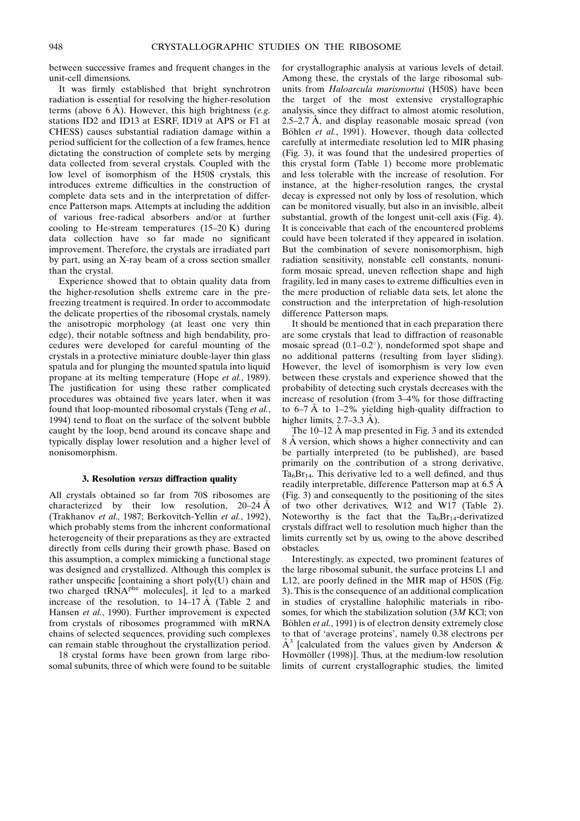between successive frames and frequent changes in the unit-cell dimensions.

It was firmly established that bright synchrotron radiation is essential for resolving the higher-resolution terms (above 6  $\AA$ ). However, this high brightness (e.g. stations ID2 and ID13 at ESRF, ID19 at APS or F1 at CHESS) causes substantial radiation damage within a period sufficient for the collection of a few frames, hence dictating the construction of complete sets by merging data collected from several crystals. Coupled with the low level of isomorphism of the H50S crystals, this introduces extreme difficulties in the construction of complete data sets and in the interpretation of difference Patterson maps. Attempts at including the addition of various free-radical absorbers and/or at further cooling to He-stream temperatures  $(15-20 \text{ K})$  during data collection have so far made no significant improvement. Therefore, the crystals are irradiated part by part, using an X-ray beam of a cross section smaller than the crystal.

Experience showed that to obtain quality data from the higher-resolution shells extreme care in the prefreezing treatment is required. In order to accommodate the delicate properties of the ribosomal crystals, namely the anisotropic morphology (at least one very thin edge), their notable softness and high bendability, procedures were developed for careful mounting of the crystals in a protective miniature double-layer thin glass spatula and for plunging the mounted spatula into liquid propane at its melting temperature (Hope et al., 1989). The justification for using these rather complicated procedures was obtained five years later, when it was found that loop-mounted ribosomal crystals (Teng et al., 1994) tend to float on the surface of the solvent bubble caught by the loop, bend around its concave shape and typically display lower resolution and a higher level of nonisomorphism.

### 3. Resolution versus diffraction quality

All crystals obtained so far from 70S ribosomes are characterized by their low resolution,  $20-24 \text{ Å}$ (Trakhanov et al., 1987; Berkovitch-Yellin et al., 1992), which probably stems from the inherent conformational heterogeneity of their preparations as they are extracted directly from cells during their growth phase. Based on this assumption, a complex mimicking a functional stage was designed and crystallized. Although this complex is rather unspecific [containing a short poly(U) chain and two charged tRNA<sup>phe</sup> molecules], it led to a marked increase of the resolution, to  $14-17 \text{ Å}$  (Table 2 and Hansen et al., 1990). Further improvement is expected from crystals of ribosomes programmed with mRNA chains of selected sequences, providing such complexes can remain stable throughout the crystallization period.

18 crystal forms have been grown from large ribosomal subunits, three of which were found to be suitable for crystallographic analysis at various levels of detail. Among these, the crystals of the large ribosomal subunits from Haloarcula marismortui (H50S) have been the target of the most extensive crystallographic analysis, since they diffract to almost atomic resolution, 2.5 $-2.7$  Å, and display reasonable mosaic spread (von Böhlen et al., 1991). However, though data collected carefully at intermediate resolution led to MIR phasing (Fig. 3), it was found that the undesired properties of this crystal form (Table 1) become more problematic and less tolerable with the increase of resolution. For instance, at the higher-resolution ranges, the crystal decay is expressed not only by loss of resolution, which can be monitored visually, but also in an invisible, albeit substantial, growth of the longest unit-cell axis (Fig. 4). It is conceivable that each of the encountered problems could have been tolerated if they appeared in isolation. But the combination of severe nonisomorphism, high radiation sensitivity, nonstable cell constants, nonuniform mosaic spread, uneven reflection shape and high fragility, led in many cases to extreme difficulties even in the mere production of reliable data sets, let alone the construction and the interpretation of high-resolution difference Patterson maps.

It should be mentioned that in each preparation there are some crystals that lead to diffraction of reasonable mosaic spread  $(0.1-0.2^{\circ})$ , nondeformed spot shape and no additional patterns (resulting from layer sliding). However, the level of isomorphism is very low even between these crystals and experience showed that the probability of detecting such crystals decreases with the increase of resolution (from 3-4% for those diffracting to  $6-7$  Å to  $1-2\%$  yielding high-quality diffraction to higher limits,  $2.7-3.3$  Å).

The  $10-12$  Å map presented in Fig. 3 and its extended 8 Å version, which shows a higher connectivity and can be partially interpreted (to be published), are based primarily on the contribution of a strong derivative,  $Ta_6Br_{14}$ . This derivative led to a well defined, and thus readily interpretable, difference Patterson map at  $6.5 \text{ Å}$ (Fig. 3) and consequently to the positioning of the sites of two other derivatives, W12 and W17 (Table 2). Noteworthy is the fact that the  $Ta_6Br_{14}$ -derivatized crystals diffract well to resolution much higher than the limits currently set by us, owing to the above described obstacles.

Interestingly, as expected, two prominent features of the large ribosomal subunit, the surface proteins L1 and L12, are poorly defined in the MIR map of H50S (Fig. 3). This is the consequence of an additional complication in studies of crystalline halophilic materials in ribosomes, for which the stabilization solution (3M KCl; von Böhlen et al., 1991) is of electron density extremely close to that of `average proteins', namely 0.38 electrons per  $A<sup>3</sup>$  [calculated from the values given by Anderson & Hovmöller (1998)]. Thus, at the medium-low resolution limits of current crystallographic studies, the limited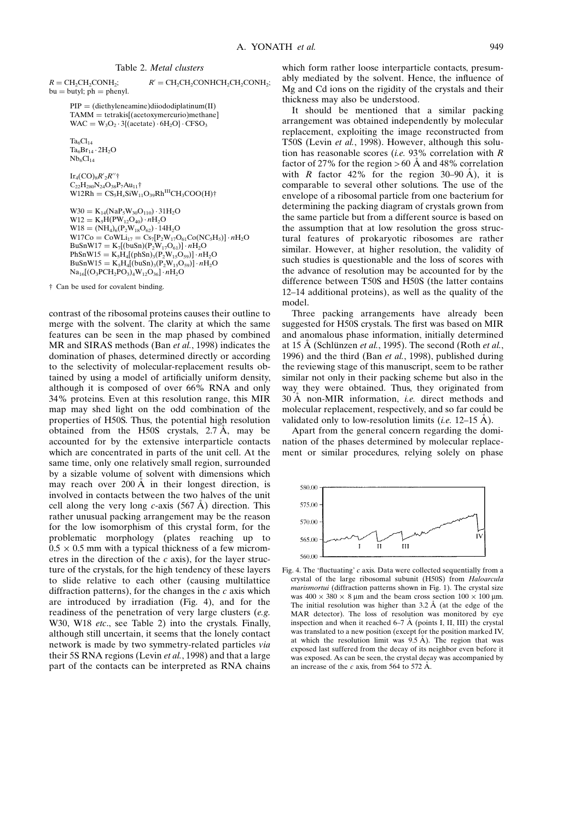$R = CH_2CH_2CONH_2;$   $R' = CH_2CH_2CONHCH_2CH_2CONH_2;$  $bu = butyl$ ;  $ph = phenyl$ .

 $PIP = (diethyleneamine)diiododiplatinum(II)$  $TAMM = tetrakis[(acetoxymercurio)methane]$  $WAC = W_3O_2 \cdot 3\{(\text{acetate}) \cdot 6H_2O\} \cdot CFSO_3$ 

 $Ta_6Cl_{14}$  $Ta_6Br_{14} \cdot 2H_2O$  $Nb_6Cl_{14}$ 

 $\operatorname{Ir}_4(\operatorname{CO})_8R^\prime_2R^{\prime\prime\dagger}$  $C_{22}H_{280}N_{24}O_{38}P_7Au_{11}$ †  $W12Rh = CS_5H_xSiW_{11}O_{39}Rh^{III}CH_3COO(H)$ †

```
W30 = K_{14}(NaP_5W_{30}O_{110}) \cdot 31H_2OW12 = K_5H(PW_{12}O_{40}) \cdot nH_2OW18 = (NH_4)_6(P_2W_{18}O_{62}) \cdot 14H_2OW17Co = CoWLi_{17} = Cs_{7}[P_{2}W_{17}O_{61}Co(NC_{5}H_{5})] \cdot nH_{2}OBuSnW17 = K_7[(buSn)(P_2W_{17}O_{61})] \cdot nH_2OPhSnW15 = K_5H_4[(phSn)_3(P_2W_{15}O_{59})] \cdot nH_2OBuSnW15 = K_5H_4[(buSn)_3(P_2W_{15}O_{59})] \cdot nH_2ONa_{16}[(O_3PCH_2PO_3)_4W_{12}O_{36}] \cdot nH_2O
```
 $\dagger$  Can be used for covalent binding.

contrast of the ribosomal proteins causes their outline to merge with the solvent. The clarity at which the same features can be seen in the map phased by combined MR and SIRAS methods (Ban et al., 1998) indicates the domination of phases, determined directly or according to the selectivity of molecular-replacement results obtained by using a model of artificially uniform density, although it is composed of over 66% RNA and only 34% proteins. Even at this resolution range, this MIR map may shed light on the odd combination of the properties of H50S. Thus, the potential high resolution obtained from the H50S crystals,  $2.7 \text{ Å}$ , may be accounted for by the extensive interparticle contacts which are concentrated in parts of the unit cell. At the same time, only one relatively small region, surrounded by a sizable volume of solvent with dimensions which may reach over  $200 \text{ Å}$  in their longest direction, is involved in contacts between the two halves of the unit cell along the very long  $c$ -axis (567 Å) direction. This rather unusual packing arrangement may be the reason for the low isomorphism of this crystal form, for the problematic morphology (plates reaching up to  $0.5 \times 0.5$  mm with a typical thickness of a few micrometres in the direction of the  $c$  axis), for the layer structure of the crystals, for the high tendency of these layers to slide relative to each other (causing multilattice diffraction patterns), for the changes in the  $c$  axis which are introduced by irradiation (Fig. 4), and for the readiness of the penetration of very large clusters (e.g. W30, W18 etc., see Table 2) into the crystals. Finally, although still uncertain, it seems that the lonely contact network is made by two symmetry-related particles via their 5S RNA regions (Levin et al., 1998) and that a large part of the contacts can be interpreted as RNA chains which form rather loose interparticle contacts, presumably mediated by the solvent. Hence, the influence of Mg and Cd ions on the rigidity of the crystals and their thickness may also be understood.

It should be mentioned that a similar packing arrangement was obtained independently by molecular replacement, exploiting the image reconstructed from T50S (Levin et al., 1998). However, although this solution has reasonable scores (*i.e.* 93% correlation with  $R$ factor of 27% for the region  $> 60$  Å and 48% correlation with R factor 42% for the region 30–90 Å), it is comparable to several other solutions. The use of the envelope of a ribosomal particle from one bacterium for determining the packing diagram of crystals grown from the same particle but from a different source is based on the assumption that at low resolution the gross structural features of prokaryotic ribosomes are rather similar. However, at higher resolution, the validity of such studies is questionable and the loss of scores with the advance of resolution may be accounted for by the difference between T50S and H50S (the latter contains 12-14 additional proteins), as well as the quality of the model.

Three packing arrangements have already been suggested for H50S crystals. The first was based on MIR and anomalous phase information, initially determined at 15 Å (Schlünzen et al., 1995). The second (Roth et al., 1996) and the third (Ban et al., 1998), published during the reviewing stage of this manuscript, seem to be rather similar not only in their packing scheme but also in the way they were obtained. Thus, they originated from  $30 \text{ Å}$  non-MIR information, *i.e.* direct methods and molecular replacement, respectively, and so far could be validated only to low-resolution limits (*i.e.* 12–15  $\AA$ ).

Apart from the general concern regarding the domination of the phases determined by molecular replacement or similar procedures, relying solely on phase



Fig. 4. The 'fluctuating'  $c$  axis. Data were collected sequentially from a crystal of the large ribosomal subunit (H50S) from Haloarcula marismortui (diffraction patterns shown in Fig. 1). The crystal size was  $400 \times 380 \times 8$  µm and the beam cross section  $100 \times 100$  µm. The initial resolution was higher than  $3.2 \text{ Å}$  (at the edge of the MAR detector). The loss of resolution was monitored by eye inspection and when it reached  $6-7$  Å (points I, II, III) the crystal was translated to a new position (except for the position marked IV, at which the resolution limit was  $9.5 \text{ Å}$ ). The region that was exposed last suffered from the decay of its neighbor even before it was exposed. As can be seen, the crystal decay was accompanied by an increase of the c axis, from 564 to 572  $\AA$ .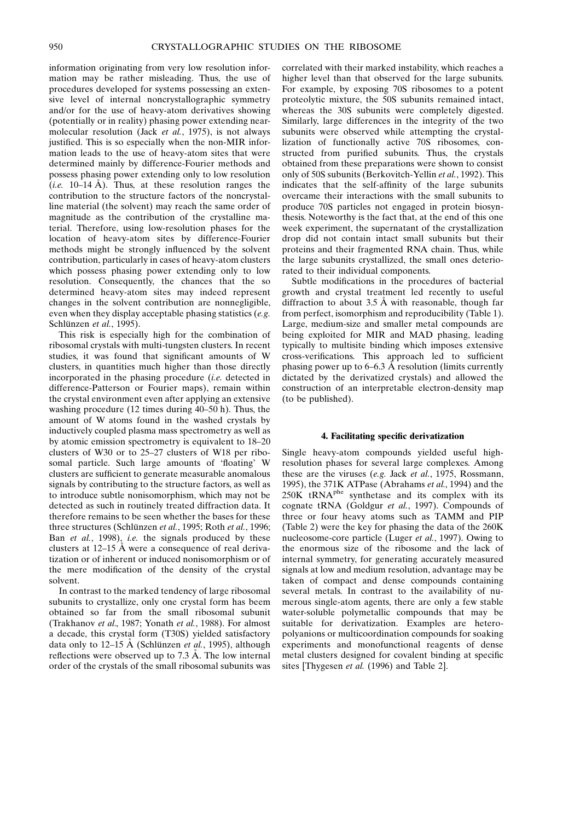information originating from very low resolution information may be rather misleading. Thus, the use of procedures developed for systems possessing an extensive level of internal noncrystallographic symmetry and/or for the use of heavy-atom derivatives showing (potentially or in reality) phasing power extending nearmolecular resolution (Jack et al., 1975), is not always justified. This is so especially when the non-MIR information leads to the use of heavy-atom sites that were determined mainly by difference-Fourier methods and possess phasing power extending only to low resolution (*i.e.* 10–14  $\AA$ ). Thus, at these resolution ranges the contribution to the structure factors of the noncrystalline material (the solvent) may reach the same order of magnitude as the contribution of the crystalline material. Therefore, using low-resolution phases for the location of heavy-atom sites by difference-Fourier methods might be strongly influenced by the solvent contribution, particularly in cases of heavy-atom clusters which possess phasing power extending only to low resolution. Consequently, the chances that the so determined heavy-atom sites may indeed represent changes in the solvent contribution are nonnegligible, even when they display acceptable phasing statistics (e.g. Schlünzen et al., 1995).

This risk is especially high for the combination of ribosomal crystals with multi-tungsten clusters. In recent studies, it was found that significant amounts of W clusters, in quantities much higher than those directly incorporated in the phasing procedure (i.e. detected in difference-Patterson or Fourier maps), remain within the crystal environment even after applying an extensive washing procedure (12 times during  $40-50$  h). Thus, the amount of W atoms found in the washed crystals by inductively coupled plasma mass spectrometry as well as by atomic emission spectrometry is equivalent to 18-20 clusters of W30 or to 25-27 clusters of W18 per ribosomal particle. Such large amounts of 'floating' W clusters are sufficient to generate measurable anomalous signals by contributing to the structure factors, as well as to introduce subtle nonisomorphism, which may not be detected as such in routinely treated diffraction data. It therefore remains to be seen whether the bases for these three structures (Schlünzen et al., 1995; Roth et al., 1996; Ban et al., 1998), i.e. the signals produced by these clusters at  $12-15$  Å were a consequence of real derivatization or of inherent or induced nonisomorphism or of the mere modification of the density of the crystal solvent.

In contrast to the marked tendency of large ribosomal subunits to crystallize, only one crystal form has beem obtained so far from the small ribosomal subunit (Trakhanov et al., 1987; Yonath et al., 1988). For almost a decade, this crystal form (T30S) yielded satisfactory data only to 12–15 Å (Schlünzen *et al.*, 1995), although reflections were observed up to  $7.3 \text{ Å}$ . The low internal order of the crystals of the small ribosomal subunits was correlated with their marked instability, which reaches a higher level than that observed for the large subunits. For example, by exposing 70S ribosomes to a potent proteolytic mixture, the 50S subunits remained intact, whereas the 30S subunits were completely digested. Similarly, large differences in the integrity of the two subunits were observed while attempting the crystallization of functionally active 70S ribosomes, constructed from purified subunits. Thus, the crystals obtained from these preparations were shown to consist only of 50S subunits (Berkovitch-Yellin et al., 1992). This indicates that the self-affinity of the large subunits overcame their interactions with the small subunits to produce 70S particles not engaged in protein biosynthesis. Noteworthy is the fact that, at the end of this one week experiment, the supernatant of the crystallization drop did not contain intact small subunits but their proteins and their fragmented RNA chain. Thus, while the large subunits crystallized, the small ones deteriorated to their individual components.

Subtle modifications in the procedures of bacterial growth and crystal treatment led recently to useful diffraction to about  $3.5 \text{ Å}$  with reasonable, though far from perfect, isomorphism and reproducibility (Table 1). Large, medium-size and smaller metal compounds are being exploited for MIR and MAD phasing, leading typically to multisite binding which imposes extensive cross-verifications. This approach led to sufficient phasing power up to  $6-6.3$  Å resolution (limits currently dictated by the derivatized crystals) and allowed the construction of an interpretable electron-density map (to be published).

#### 4. Facilitating specific derivatization

Single heavy-atom compounds yielded useful highresolution phases for several large complexes. Among these are the viruses (e.g. Jack et al., 1975, Rossmann, 1995), the 371K ATPase (Abrahams et al., 1994) and the  $250K$  tRNA<sup>phe</sup> synthetase and its complex with its cognate tRNA (Goldgur et al., 1997). Compounds of three or four heavy atoms such as TAMM and PIP (Table 2) were the key for phasing the data of the 260K nucleosome-core particle (Luger et al., 1997). Owing to the enormous size of the ribosome and the lack of internal symmetry, for generating accurately measured signals at low and medium resolution, advantage may be taken of compact and dense compounds containing several metals. In contrast to the availability of numerous single-atom agents, there are only a few stable water-soluble polymetallic compounds that may be suitable for derivatization. Examples are heteropolyanions or multicoordination compounds for soaking experiments and monofunctional reagents of dense metal clusters designed for covalent binding at specific sites [Thygesen et al. (1996) and Table 2].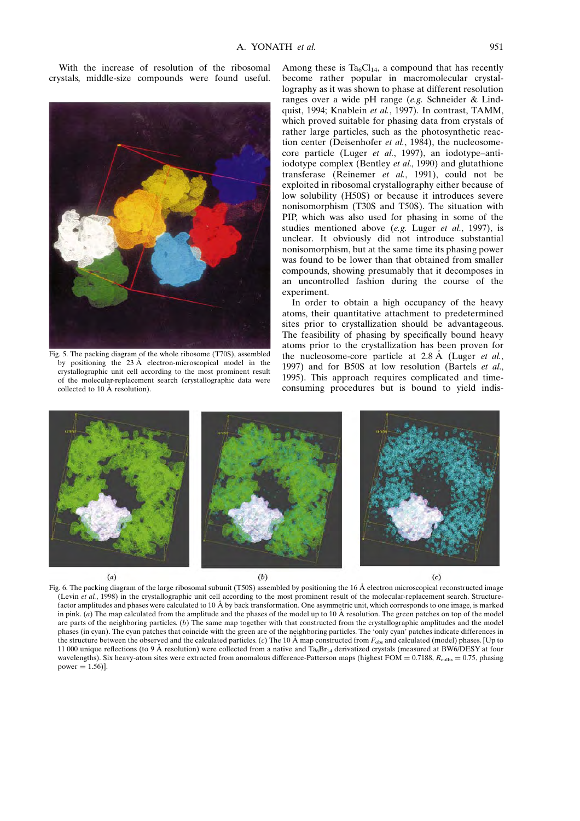With the increase of resolution of the ribosomal crystals, middle-size compounds were found useful.



Fig. 5. The packing diagram of the whole ribosome (T70S), assembled by positioning the  $23 \text{ Å}$  electron-microscopical model in the crystallographic unit cell according to the most prominent result of the molecular-replacement search (crystallographic data were collected to 10  $\AA$  resolution).

Among these is  $Ta_6Cl_{14}$ , a compound that has recently become rather popular in macromolecular crystallography as it was shown to phase at different resolution ranges over a wide pH range (e.g. Schneider & Lindquist, 1994; Knablein et al., 1997). In contrast, TAMM, which proved suitable for phasing data from crystals of rather large particles, such as the photosynthetic reaction center (Deisenhofer et al., 1984), the nucleosomecore particle (Luger et al., 1997), an iodotype-antiiodotype complex (Bentley *et al.*, 1990) and glutathione transferase (Reinemer et al., 1991), could not be exploited in ribosomal crystallography either because of low solubility (H50S) or because it introduces severe nonisomorphism (T30S and T50S). The situation with PIP, which was also used for phasing in some of the studies mentioned above (e.g. Luger et al., 1997), is unclear. It obviously did not introduce substantial nonisomorphism, but at the same time its phasing power was found to be lower than that obtained from smaller compounds, showing presumably that it decomposes in an uncontrolled fashion during the course of the experiment.

In order to obtain a high occupancy of the heavy atoms, their quantitative attachment to predetermined sites prior to crystallization should be advantageous. The feasibility of phasing by specifically bound heavy atoms prior to the crystallization has been proven for the nucleosome-core particle at  $2.8 \text{ Å}$  (Luger et al., 1997) and for B50S at low resolution (Bartels et al., 1995). This approach requires complicated and timeconsuming procedures but is bound to yield indis-



Fig. 6. The packing diagram of the large ribosomal subunit (T50S) assembled by positioning the 16 Å electron microscopical reconstructed image (Levin et al., 1998) in the crystallographic unit cell according to the most prominent result of the molecular-replacement search. Structurefactor amplitudes and phases were calculated to 10 Å by back transformation. One asymmetric unit, which corresponds to one image, is marked in pink. (a) The map calculated from the amplitude and the phases of the model up to  $10 \text{ Å}$  resolution. The green patches on top of the model are parts of the neighboring particles. (b) The same map together with that constructed from the crystallographic amplitudes and the model phases (in cyan). The cyan patches that coincide with the green are of the neighboring particles. The `only cyan' patches indicate differences in the structure between the observed and the calculated particles. (c) The 10  $\AA$  map constructed from  $F_{obs}$  and calculated (model) phases. [Up to 11 000 unique reflections (to 9 Å resolution) were collected from a native and  $Ta<sub>6</sub>Br<sub>14</sub>$  derivatized crystals (measured at BW6/DESY at four wavelengths). Six heavy-atom sites were extracted from anomalous difference-Patterson maps (highest FOM =  $0.7188$ ,  $R_{\text{culling}} = 0.75$ , phasing power  $= 1.56$ ].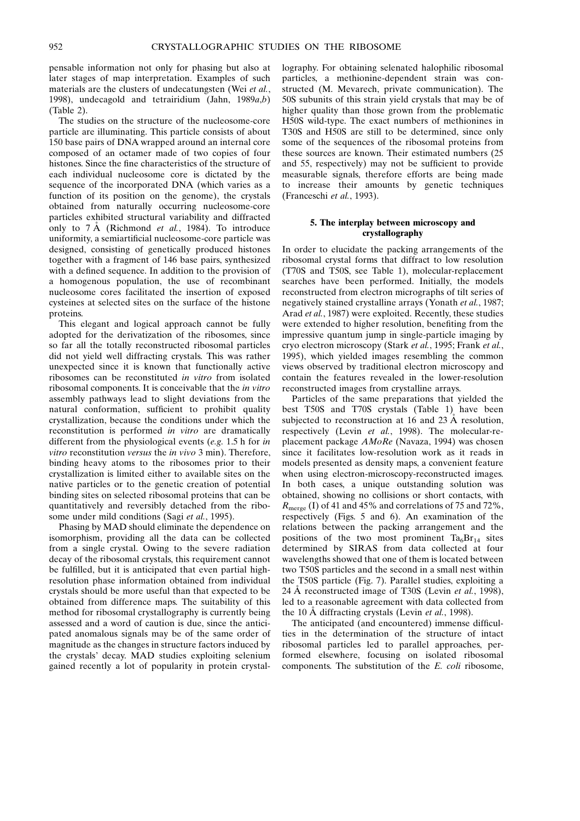pensable information not only for phasing but also at later stages of map interpretation. Examples of such materials are the clusters of undecatungsten (Wei et al., 1998), undecagold and tetrairidium (Jahn, 1989a,b) (Table 2).

The studies on the structure of the nucleosome-core particle are illuminating. This particle consists of about 150 base pairs of DNA wrapped around an internal core composed of an octamer made of two copies of four histones. Since the fine characteristics of the structure of each individual nucleosome core is dictated by the sequence of the incorporated DNA (which varies as a function of its position on the genome), the crystals obtained from naturally occurring nucleosome-core particles exhibited structural variability and diffracted only to  $7 \text{ Å}$  (Richmond *et al.*, 1984). To introduce uniformity, a semiartificial nucleosome-core particle was designed, consisting of genetically produced histones together with a fragment of 146 base pairs, synthesized with a defined sequence. In addition to the provision of a homogenous population, the use of recombinant nucleosome cores facilitated the insertion of exposed cysteines at selected sites on the surface of the histone proteins.

This elegant and logical approach cannot be fully adopted for the derivatization of the ribosomes, since so far all the totally reconstructed ribosomal particles did not yield well diffracting crystals. This was rather unexpected since it is known that functionally active ribosomes can be reconstituted in vitro from isolated ribosomal components. It is conceivable that the in vitro assembly pathways lead to slight deviations from the natural conformation, sufficient to prohibit quality crystallization, because the conditions under which the reconstitution is performed in vitro are dramatically different from the physiological events (e.g. 1.5 h for in vitro reconstitution versus the in vivo 3 min). Therefore, binding heavy atoms to the ribosomes prior to their crystallization is limited either to available sites on the native particles or to the genetic creation of potential binding sites on selected ribosomal proteins that can be quantitatively and reversibly detached from the ribosome under mild conditions (Sagi et al., 1995).

Phasing by MAD should eliminate the dependence on isomorphism, providing all the data can be collected from a single crystal. Owing to the severe radiation decay of the ribosomal crystals, this requirement cannot be fulfilled, but it is anticipated that even partial highresolution phase information obtained from individual crystals should be more useful than that expected to be obtained from difference maps. The suitability of this method for ribosomal crystallography is currently being assessed and a word of caution is due, since the anticipated anomalous signals may be of the same order of magnitude as the changes in structure factors induced by the crystals' decay. MAD studies exploiting selenium gained recently a lot of popularity in protein crystallography. For obtaining selenated halophilic ribosomal particles, a methionine-dependent strain was constructed (M. Mevarech, private communication). The 50S subunits of this strain yield crystals that may be of higher quality than those grown from the problematic H50S wild-type. The exact numbers of methionines in T30S and H50S are still to be determined, since only some of the sequences of the ribosomal proteins from these sources are known. Their estimated numbers (25 and 55, respectively) may not be sufficient to provide measurable signals, therefore efforts are being made to increase their amounts by genetic techniques (Franceschi et al., 1993).

## 5. The interplay between microscopy and crystallography

In order to elucidate the packing arrangements of the ribosomal crystal forms that diffract to low resolution (T70S and T50S, see Table 1), molecular-replacement searches have been performed. Initially, the models reconstructed from electron micrographs of tilt series of negatively stained crystalline arrays (Yonath et al., 1987; Arad et al., 1987) were exploited. Recently, these studies were extended to higher resolution, benefiting from the impressive quantum jump in single-particle imaging by cryo electron microscopy (Stark et al., 1995; Frank et al., 1995), which yielded images resembling the common views observed by traditional electron microscopy and contain the features revealed in the lower-resolution reconstructed images from crystalline arrays.

Particles of the same preparations that yielded the best T50S and T70S crystals (Table 1) have been subjected to reconstruction at 16 and 23  $\AA$  resolution, respectively (Levin et al., 1998). The molecular-replacement package AMoRe (Navaza, 1994) was chosen since it facilitates low-resolution work as it reads in models presented as density maps, a convenient feature when using electron-microscopy-reconstructed images. In both cases, a unique outstanding solution was obtained, showing no collisions or short contacts, with  $R_{\text{merge}}$  (I) of 41 and 45% and correlations of 75 and 72%, respectively (Figs. 5 and 6). An examination of the relations between the packing arrangement and the positions of the two most prominent  $Ta_6Br_{14}$  sites determined by SIRAS from data collected at four wavelengths showed that one of them is located between two T50S particles and the second in a small nest within the T50S particle (Fig. 7). Parallel studies, exploiting a 24 Å reconstructed image of T30S (Levin et al., 1998), led to a reasonable agreement with data collected from the 10  $\AA$  diffracting crystals (Levin *et al.*, 1998).

The anticipated (and encountered) immense difficulties in the determination of the structure of intact ribosomal particles led to parallel approaches, performed elsewhere, focusing on isolated ribosomal components. The substitution of the E. coli ribosome,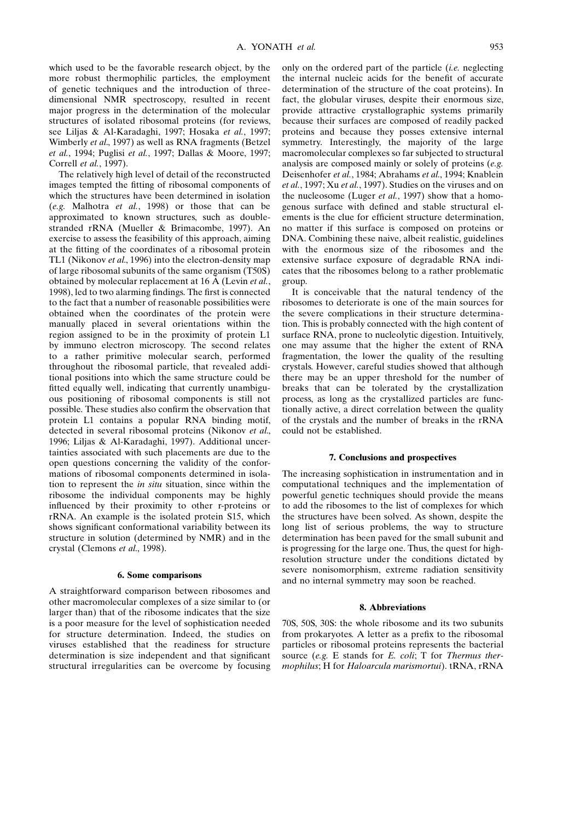which used to be the favorable research object, by the more robust thermophilic particles, the employment of genetic techniques and the introduction of threedimensional NMR spectroscopy, resulted in recent major progress in the determination of the molecular structures of isolated ribosomal proteins (for reviews, see Liljas & Al-Karadaghi, 1997; Hosaka et al., 1997; Wimberly et al., 1997) as well as RNA fragments (Betzel et al., 1994; Puglisi et al., 1997; Dallas & Moore, 1997; Correll et al., 1997).

The relatively high level of detail of the reconstructed images tempted the fitting of ribosomal components of which the structures have been determined in isolation (e.g. Malhotra et al., 1998) or those that can be approximated to known structures, such as doublestranded rRNA (Mueller & Brimacombe, 1997). An exercise to assess the feasibility of this approach, aiming at the fitting of the coordinates of a ribosomal protein TL1 (Nikonov et al., 1996) into the electron-density map of large ribosomal subunits of the same organism (T50S) obtained by molecular replacement at 16  $\AA$  (Levin *et al.*, 1998), led to two alarming findings. The first is connected to the fact that a number of reasonable possibilities were obtained when the coordinates of the protein were manually placed in several orientations within the region assigned to be in the proximity of protein L1 by immuno electron microscopy. The second relates to a rather primitive molecular search, performed throughout the ribosomal particle, that revealed additional positions into which the same structure could be fitted equally well, indicating that currently unambiguous positioning of ribosomal components is still not possible. These studies also confirm the observation that protein L1 contains a popular RNA binding motif, detected in several ribosomal proteins (Nikonov et al., 1996; Liljas & Al-Karadaghi, 1997). Additional uncertainties associated with such placements are due to the open questions concerning the validity of the conformations of ribosomal components determined in isolation to represent the in situ situation, since within the ribosome the individual components may be highly influenced by their proximity to other r-proteins or rRNA. An example is the isolated protein S15, which shows significant conformational variability between its structure in solution (determined by NMR) and in the crystal (Clemons et al., 1998).

### 6. Some comparisons

A straightforward comparison between ribosomes and other macromolecular complexes of a size similar to (or larger than) that of the ribosome indicates that the size is a poor measure for the level of sophistication needed for structure determination. Indeed, the studies on viruses established that the readiness for structure determination is size independent and that significant structural irregularities can be overcome by focusing only on the ordered part of the particle  $(i.e.$  neglecting the internal nucleic acids for the benefit of accurate determination of the structure of the coat proteins). In fact, the globular viruses, despite their enormous size, provide attractive crystallographic systems primarily because their surfaces are composed of readily packed proteins and because they posses extensive internal symmetry. Interestingly, the majority of the large macromolecular complexes so far subjected to structural analysis are composed mainly or solely of proteins (e.g. Deisenhofer et al., 1984; Abrahams et al., 1994; Knablein et al., 1997; Xu et al., 1997). Studies on the viruses and on the nucleosome (Luger et al., 1997) show that a homogenous surface with defined and stable structural elements is the clue for efficient structure determination, no matter if this surface is composed on proteins or DNA. Combining these naive, albeit realistic, guidelines with the enormous size of the ribosomes and the extensive surface exposure of degradable RNA indicates that the ribosomes belong to a rather problematic group.

It is conceivable that the natural tendency of the ribosomes to deteriorate is one of the main sources for the severe complications in their structure determination. This is probably connected with the high content of surface RNA, prone to nucleolytic digestion. Intuitively, one may assume that the higher the extent of RNA fragmentation, the lower the quality of the resulting crystals. However, careful studies showed that although there may be an upper threshold for the number of breaks that can be tolerated by the crystallization process, as long as the crystallized particles are functionally active, a direct correlation between the quality of the crystals and the number of breaks in the rRNA could not be established.

## 7. Conclusions and prospectives

The increasing sophistication in instrumentation and in computational techniques and the implementation of powerful genetic techniques should provide the means to add the ribosomes to the list of complexes for which the structures have been solved. As shown, despite the long list of serious problems, the way to structure determination has been paved for the small subunit and is progressing for the large one. Thus, the quest for highresolution structure under the conditions dictated by severe nonisomorphism, extreme radiation sensitivity and no internal symmetry may soon be reached.

#### 8. Abbreviations

70S, 50S, 30S: the whole ribosome and its two subunits from prokaryotes. A letter as a prefix to the ribosomal particles or ribosomal proteins represents the bacterial source (e.g. E stands for E. coli; T for Thermus thermophilus; H for Haloarcula marismortui). tRNA, rRNA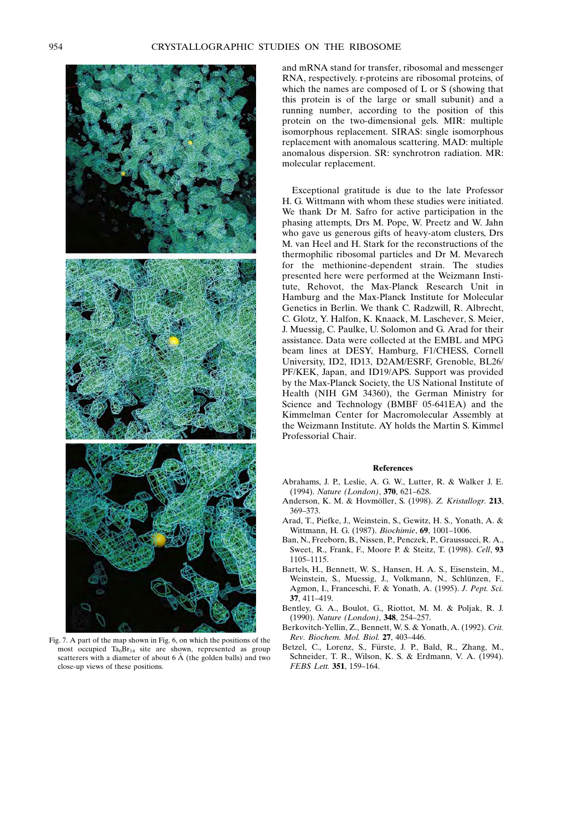

Fig. 7. A part of the map shown in Fig. 6, on which the positions of the most occupied  $Ta<sub>6</sub>Br<sub>14</sub>$  site are shown, represented as group scatterers with a diameter of about  $6 \text{ Å}$  (the golden balls) and two close-up views of these positions.

and mRNA stand for transfer, ribosomal and messenger RNA, respectively. r-proteins are ribosomal proteins, of which the names are composed of L or S (showing that this protein is of the large or small subunit) and a running number, according to the position of this protein on the two-dimensional gels. MIR: multiple isomorphous replacement. SIRAS: single isomorphous replacement with anomalous scattering. MAD: multiple anomalous dispersion. SR: synchrotron radiation. MR: molecular replacement.

Exceptional gratitude is due to the late Professor H. G. Wittmann with whom these studies were initiated. We thank Dr M. Safro for active participation in the phasing attempts, Drs M. Pope, W. Preetz and W. Jahn who gave us generous gifts of heavy-atom clusters, Drs M. van Heel and H. Stark for the reconstructions of the thermophilic ribosomal particles and Dr M. Mevarech for the methionine-dependent strain. The studies presented here were performed at the Weizmann Institute, Rehovot, the Max-Planck Research Unit in Hamburg and the Max-Planck Institute for Molecular Genetics in Berlin. We thank C. Radzwill, R. Albrecht, C. Glotz, Y. Halfon, K. Knaack, M. Laschever, S. Meier, J. Muessig, C. Paulke, U. Solomon and G. Arad for their assistance. Data were collected at the EMBL and MPG beam lines at DESY, Hamburg, F1/CHESS, Cornell University, ID2, ID13, D2AM/ESRF, Grenoble, BL26/ PF/KEK, Japan, and ID19/APS. Support was provided by the Max-Planck Society, the US National Institute of Health (NIH GM 34360), the German Ministry for Science and Technology (BMBF 05-641EA) and the Kimmelman Center for Macromolecular Assembly at the Weizmann Institute. AY holds the Martin S. Kimmel Professorial Chair.

#### References

- Abrahams, J. P., Leslie, A. G. W., Lutter, R. & Walker J. E. (1994). Nature (London), 370, 621-628.
- Anderson, K. M. & Hovmöller, S. (1998). Z. Kristallogr. 213, 369±373.
- Arad, T., Piefke, J., Weinstein, S., Gewitz, H. S., Yonath, A. & Wittmann, H. G. (1987). Biochimie, 69, 1001-1006.
- Ban, N., Freeborn, B., Nissen, P., Penczek, P., Graussucci, R. A., Sweet, R., Frank, F., Moore P. & Steitz, T. (1998). Cell, 93 1105±1115.
- Bartels, H., Bennett, W. S., Hansen, H. A. S., Eisenstein, M., Weinstein, S., Muessig, J., Volkmann, N., Schlünzen, F., Agmon, I., Franceschi, F. & Yonath, A. (1995). J. Pept. Sci. 37, 411-419.
- Bentley, G. A., Boulot, G., Riottot, M. M. & Poljak, R. J. (1990). Nature (London), 348, 254-257.
- Berkovitch-Yellin, Z., Bennett, W. S. & Yonath, A. (1992). Crit. Rev. Biochem. Mol. Biol. 27, 403-446.
- Betzel, C., Lorenz, S., Fürste, J. P., Bald, R., Zhang, M., Schneider, T. R., Wilson, K. S. & Erdmann, V. A. (1994). FEBS Lett. 351, 159-164.